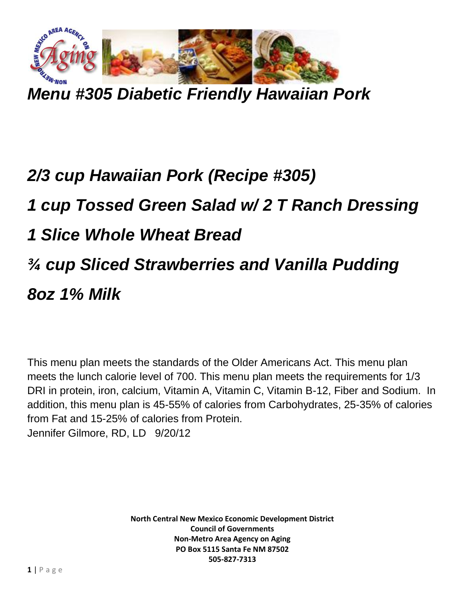

*Menu #305 Diabetic Friendly Hawaiian Pork*

## *2/3 cup Hawaiian Pork (Recipe #305) 1 cup Tossed Green Salad w/ 2 T Ranch Dressing 1 Slice Whole Wheat Bread ¾ cup Sliced Strawberries and Vanilla Pudding 8oz 1% Milk*

This menu plan meets the standards of the Older Americans Act. This menu plan meets the lunch calorie level of 700. This menu plan meets the requirements for 1/3 DRI in protein, iron, calcium, Vitamin A, Vitamin C, Vitamin B-12, Fiber and Sodium. In addition, this menu plan is 45-55% of calories from Carbohydrates, 25-35% of calories from Fat and 15-25% of calories from Protein. Jennifer Gilmore, RD, LD 9/20/12

> **North Central New Mexico Economic Development District Council of Governments Non-Metro Area Agency on Aging PO Box 5115 Santa Fe NM 87502 505-827-7313**